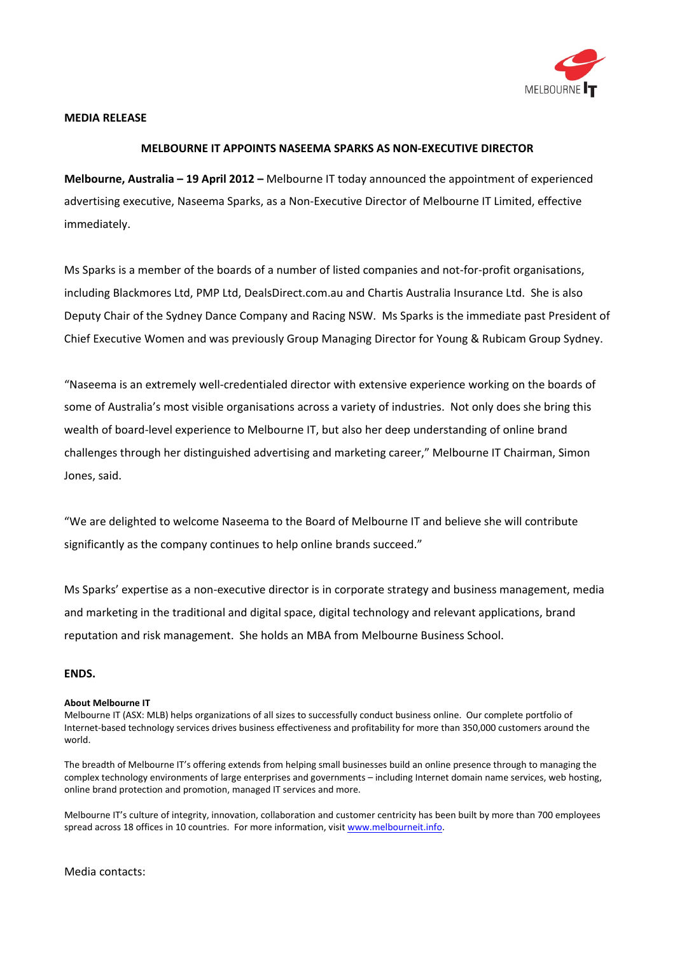

## **MEDIA RELEASE**

## **MELBOURNE IT APPOINTS NASEEMA SPARKS AS NON‐EXECUTIVE DIRECTOR**

**Melbourne, Australia – 19 April 2012 –** Melbourne IT today announced the appointment of experienced advertising executive, Naseema Sparks, as a Non‐Executive Director of Melbourne IT Limited, effective immediately.

Ms Sparks is a member of the boards of a number of listed companies and not-for-profit organisations, including Blackmores Ltd, PMP Ltd, DealsDirect.com.au and Chartis Australia Insurance Ltd. She is also Deputy Chair of the Sydney Dance Company and Racing NSW. Ms Sparks is the immediate past President of Chief Executive Women and was previously Group Managing Director for Young & Rubicam Group Sydney.

"Naseema is an extremely well‐credentialed director with extensive experience working on the boards of some of Australia's most visible organisations across a variety of industries. Not only does she bring this wealth of board‐level experience to Melbourne IT, but also her deep understanding of online brand challenges through her distinguished advertising and marketing career," Melbourne IT Chairman, Simon Jones, said.

"We are delighted to welcome Naseema to the Board of Melbourne IT and believe she will contribute significantly as the company continues to help online brands succeed."

Ms Sparks' expertise as a non‐executive director is in corporate strategy and business management, media and marketing in the traditional and digital space, digital technology and relevant applications, brand reputation and risk management. She holds an MBA from Melbourne Business School.

## **ENDS.**

## **About Melbourne IT**

Melbourne IT (ASX: MLB) helps organizations of all sizes to successfully conduct business online. Our complete portfolio of Internet-based technology services drives business effectiveness and profitability for more than 350,000 customers around the world.

The breadth of Melbourne IT's offering extends from helping small businesses build an online presence through to managing the complex technology environments of large enterprises and governments – including Internet domain name services, web hosting, online brand protection and promotion, managed IT services and more.

Melbourne IT's culture of integrity, innovation, collaboration and customer centricity has been built by more than 700 employees spread across 18 offices in 10 countries. For more information, visit www.melbourneit.info.

Media contacts: